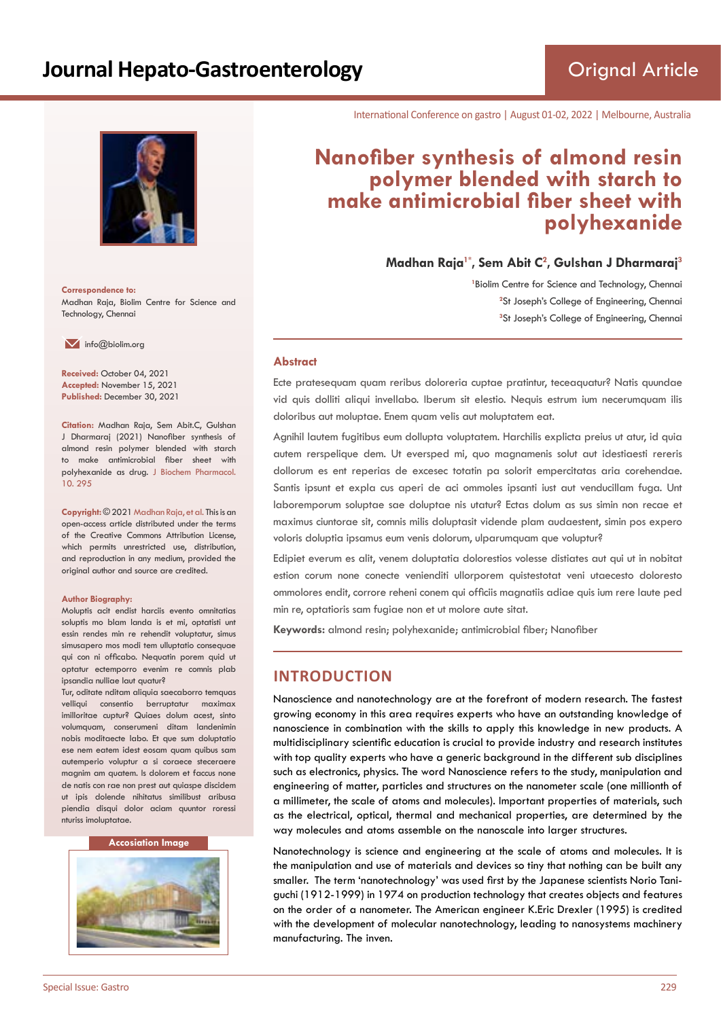

**Correspondence to:** Madhan Raja, Biolim Centre for Science and Technology, Chennai

 $\blacksquare$  info@biolim.org

**Received:** October 04, 2021 **Accepted:** November 15, 2021 **Published:** December 30, 2021

**Citation:** Madhan Raja, Sem Abit.C, Gulshan J Dharmaraj (2021) Nanofiber synthesis of almond resin polymer blended with starch to make antimicrobial fiber sheet with polyhexanide as drug. J Biochem Pharmacol. 10. 295

**Copyright:** © 2021 Madhan Raja, et al. This is an open-access article distributed under the terms of the Creative Commons Attribution License, which permits unrestricted use, distribution, and reproduction in any medium, provided the original author and source are credited.

#### **Author Biography:**

Moluptis acit endist harciis evento omnitatias soluptis mo blam landa is et mi, optatisti unt essin rendes min re rehendit voluptatur, simus simusapero mos modi tem ulluptatio consequae qui con ni officabo. Nequatin porem quid ut optatur ectemporro evenim re comnis plab ipsandia nulliae laut quatur?

Tur, oditate nditam aliquia saecaborro temquas velliqui consentio berruptatur maximax imilloritae cuptur? Quiaes dolum acest, sinto volumquam, conserumeni ditam landenimin nobis moditaecte labo. Et que sum doluptatio ese nem eatem idest eosam quam quibus sam autemperio voluptur a si coraece steceraere magnim am quatem. Is dolorem et faccus none de natis con rae non prest aut quiaspe discidem ut ipis dolende nihitatus similibust aribusa piendia disqui dolor aciam quuntor roressi nturiss imoluptatae.

#### **Accosiation Image**



International Conference on gastro | August 01-02, 2022 | Melbourne, Australia

# **Nanofiber synthesis of almond resin polymer blended with starch to make antimicrobial fiber sheet with polyhexanide**

**Madhan Raja1\*, Sem Abit C<sup>2</sup> , Gulshan J Dharmaraj<sup>3</sup>**

<sup>1</sup> Biolim Centre for Science and Technology, Chennai <sup>2</sup>St Joseph's College of Engineering, Chennai **3** St Joseph's College of Engineering, Chennai

#### **Abstract**

Ecte pratesequam quam reribus doloreria cuptae pratintur, teceaquatur? Natis quundae vid quis dolliti aliqui invellabo. Iberum sit elestio. Nequis estrum ium necerumquam ilis doloribus aut moluptae. Enem quam velis aut moluptatem eat.

Agnihil lautem fugitibus eum dollupta voluptatem. Harchilis explicta preius ut atur, id quia autem rerspelique dem. Ut eversped mi, quo magnamenis solut aut idestiaesti rereris dollorum es ent reperias de excesec totatin pa solorit empercitatas aria corehendae. Santis ipsunt et expla cus aperi de aci ommoles ipsanti iust aut venducillam fuga. Unt laboremporum soluptae sae doluptae nis utatur? Ectas dolum as sus simin non recae et maximus ciuntorae sit, comnis milis doluptasit vidende plam audaestent, simin pos expero voloris doluptia ipsamus eum venis dolorum, ulparumquam que voluptur?

Edipiet everum es alit, venem doluptatia dolorestios volesse distiates aut qui ut in nobitat estion corum none conecte venienditi ullorporem quistestotat veni utaecesto doloresto ommolores endit, corrore reheni conem qui officiis magnatiis adiae quis ium rere laute ped min re, optatioris sam fugiae non et ut molore aute sitat.

**Keywords:** almond resin; polyhexanide; antimicrobial fiber; Nanofiber

# **INTRODUCTION**

Nanoscience and nanotechnology are at the forefront of modern research. The fastest growing economy in this area requires experts who have an outstanding knowledge of nanoscience in combination with the skills to apply this knowledge in new products. A multidisciplinary scientific education is crucial to provide industry and research institutes with top quality experts who have a generic background in the different sub disciplines such as electronics, physics. The word Nanoscience refers to the study, manipulation and engineering of matter, particles and structures on the nanometer scale (one millionth of a millimeter, the scale of atoms and molecules). Important properties of materials, such as the electrical, optical, thermal and mechanical properties, are determined by the way molecules and atoms assemble on the nanoscale into larger structures.

Nanotechnology is science and engineering at the scale of atoms and molecules. It is the manipulation and use of materials and devices so tiny that nothing can be built any smaller. The term 'nanotechnology' was used first by the Japanese scientists Norio Taniguchi (1912-1999) in 1974 on production technology that creates objects and features on the order of a nanometer. The American engineer K.Eric Drexler (1995) is credited with the development of molecular nanotechnology, leading to nanosystems machinery manufacturing. The inven.